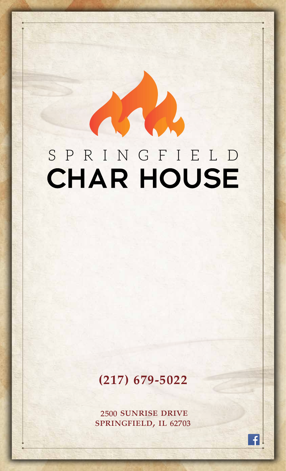# SPRINGFIELD CHAR HOUSE

## **(217) 679-5022**

2500 sunrise drive springfield, il 62703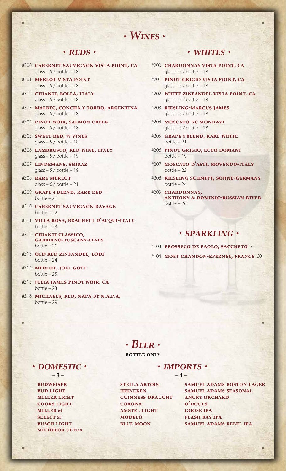### *Wines*

#### **· REDS** ·

- #300 **cabernet sauvignon vista point, ca** glass  $-5/$  bottle  $-18$
- #301 **merlot vista point** glass  $-5$  / bottle  $-18$
- #302 **chianti, bolla, italy**  $glass - 5 / bottle - 18$
- #303 **malbec, concha y torro, argentina** glass  $-5/$  bottle  $-18$
- #304 **pinot noir, salmon creek**  $glass - 5 / bottle - 18$
- #305 **sweet red, <sup>99</sup> vines** glass  $-5$  / bottle  $-18$
- #306 **lambrusco, red wine, italy** glass  $-5$  / bottle  $-19$
- #307 **lindemans, shiraz** glass  $-5$  / bottle  $-19$
- #308 **rare merlot** glass  $-6$  / bottle  $-21$
- #309 **grape <sup>4</sup> blend, rare red** bottle – 21
- #310 **cabernet sauvignon ravage** bottle – 22
- #311 **villa rosa, brachett d'acqui-italy** bottle  $-23$
- #312 **chianti classico, gabbiano-tuscany-italy** bottle – 21
- #313 **old red zinfandel, lodi** bottle – 24
- #314 **merlot, joel gott** bottle – 25
- #315 **julia james pinot noir, ca** bottle – 23
- #316 **michaels, red, napa by n.a.p.a.** bottle – 29

#### *whites*

- #200 **chardonnay vista point, ca** glass  $-5/$  bottle  $-18$
- #201 **pinot grigio vista point, ca**  $glass - 5 / bottle - 18$
- #202 **white zinfandel vista point, ca** glass  $-5$  / bottle  $-18$
- #203 **riesling-marcus james** glass  $-5/$  bottle  $-18$
- #204 **moscato kc mondavi** glass  $-5$  / bottle  $-18$
- #205 **grape <sup>4</sup> blend, rare white** bottle – 21
- #206 **pinot grigio, ecco domani** bottle – 19
- #207 **moscato d'asti, movendo-italy** bottle – 22
- #208 **riesling schmitt, sohne-germany** bottle – 24
- #209 **chardonnay, anthony & dominic-russian river** bottle – 26

#### *sparkling*

#103 **prosseco de paolo, saccheto** 21 #104 **moet chandon-eperney, france** 60

### $\cdot$  *Beer*  $\cdot$

#### **bottle only**

**· DOMESTIC ·** 

**budweiser bud light miller light coors light miller <sup>64</sup> select <sup>55</sup> busch light michelob ultra**

 $\cdot$  *IMPORTS*  $\cdot$ **– 3 – – 4 –**

> **stella artois heineken guinness draught corona amstel light modelo blue moon**

**samuel adams boston lager samuel adams seasonal angry orchard o'** pouls **gOOSE IPA flash bay ipa samuel adams rebel ipa**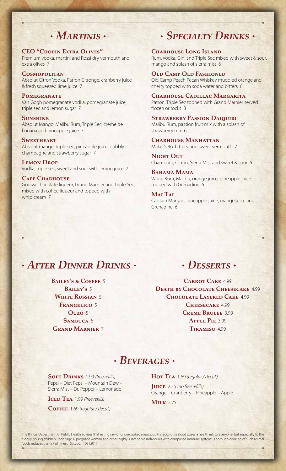### **CEO "Chopin Extra Olives"**

Premium vodka, martini and Rossi dry vermouth and extra olives 7

#### **Cosmopolitan**

Absolut Citron Vodka, Patron Citronge, cranberry juice & fresh squeezed lime juice 7

#### **Pomegranate**

Van Gogh pomegranate vodka, pomegranate juice, triple sec and lemon sugar 7

#### **Sunshine**

Absolut Mango, Malibu Rum, Triple Sec, creme de banana and pineapple juice 7

#### **SWEETHEART**

Absolut mango, triple sec, pineapple juice, bubbly champagne and strawberry sugar 7

#### **Lemon Drop** Vodka, triple sec, sweet and sour with lemon juice 7

#### **Cafe Charhouse** Godiva chocolate liqueur, Grand Marnier and Triple Sec

mixed with coffee liqueur and topped with whip cream 7

## *Martinis Specialty Drinks*

#### **Charhouse Long Island**

Rum, Vodka, Gin, and Triple Sec mixed with sweet & sour, mango and splash of sierra mist 6

#### **Old Camp Old Fashioned**

Old Camp Peach Pecan Whiskey muddled orange and cherry topped with soda water and bitters 6

#### **Charhouse Cadillac Margarita**

Patron, Triple Sec topped with Grand Marnier served frozen or rocks 8

#### **Strawberry Passion Daiquiri**  Malibu Rum, passion fruit mix with a splash of strawberry mix 6

**Charhouse Manhattan**  Maker's 46, bitters, and sweet vermouth 7

**Night Out**  Chambord, Citron, Sierra Mist and sweet & sour 6

#### **Bahama Mama**

White Rum, Malibu, orange juice, pineapple juice topped with Grenadine 6

#### **Mai Tai** Captain Morgan, pineapple juice, orange juice and Grenadine 6

### *After Dinner Drinks*

**Bailey's & Coffee** 5 **Bailey's** 5 **White Russian** 5 **Frangelico** 5 **Ouzo** 5 SAMBUCA 6 **Grand Marnier** 7

### *Desserts*

**Carrot Cake** 4.99 **Death by Chocolate Cheesecake** 4.99 **Chocolate Layered Cake** 4.99 **Cheesecake** 4.99 **Creme Brulee** 3.99 **Apple Pie** 3.99 **Tiramisu** 4.99

### *Beverages*

**Soft Drinks** 1.99 *(free refills)* Pepsi – Diet Pepsi – Mountain Dew – Sierra Mist – Dr. Pepper – Lemonade

**Iced Tea** 1.99 *(free refills)*

**Coffee** 1.69 *(regular / decaf )*

**Hot Tea** 1.69 *(regular / decaf )* **Juice** 2.25 *(no free refills)*

Orange – Cranberry – Pineapple – Apple

**Milk** 2.25

The Illinois Department of Public Health advises that eating raw or undercooked meat, poultry, eggs or seafood poses a health risk to everyone, but especially to the elderly, young children under age 4, pregnant woman and other highly susceptible individuals with comprised immune systems. Thorough cooking of such animal foods reduces the risk of illness. SyscoCI 10312017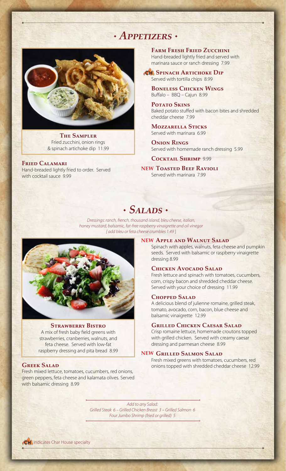### *Appetizers*



**The Sampler** Fried zucchini, onion rings & spinach artichoke dip 11.99

**Fried Calamari** Hand-breaded lightly fried to order. Served with cocktail sauce 9.99

**Farm Fresh Fried Zucchini** Hand-breaded lightly fried and served with marinara sauce or ranch dressing 7.99

 **Spinach Artichoke Dip** Served with tortilla chips 8.99

**Boneless Chicken Wings** Buffalo – BBQ – Cajun 8.99

**Potato Skins** Baked potato stuffed with bacon bites and shredded cheddar cheese 7.99

**Mozzarella Sticks** Served with marinara 6.99

**Onion Rings**  Served with homemade ranch dressing 5.99

**Cocktail Shrimp** 9.99

 **Toasted Beef Ravioli NEW** Served with marinara 7.99

### *Salads*

*Dressings: ranch, french, thousand island, bleu cheese, italian, honey mustard, balsamic, fat-free raspberry vinaigrette and oil vinegar [ add bleu or feta cheese crumbles 1.49* ]



#### **Strawberry Bistro**

A mix of fresh baby field greens with strawberries, cranberries, walnuts, and feta cheese. Served with low-fat raspberry dressing and pita bread 8.99

#### **Greek Salad**

Fresh mixed lettuce, tomatoes, cucumbers, red onions, green peppers, feta cheese and kalamata olives. Served with balsamic dressing 8.99

#### **Apple and Walnut Salad NEW**

Spinach with apples, walnuts, feta cheese and pumpkin seeds. Served with balsamic or raspberry vinaigrette dressing 8.99

#### **Chicken Avocado Salad**

Fresh lettuce and spinach with tomatoes, cucumbers, corn, crispy bacon and shredded cheddar cheese. Served with your choice of dressing 11.99

#### **Chopped Salad**

A delicious blend of julienne romaine, grilled steak, tomato, avocado, corn, bacon, blue cheese and balsamic vinaigrette 12.99

#### **Grilled Chicken Caesar Salad**

Crisp romaine lettuce, homemade croutons topped with grilled chicken. Served with creamy caesar dressing and parmesan cheese 8.99

#### **Grilled Salmon Salad NEW**

Fresh mixed greens with tomatoes, cucumbers, red onions topped with shredded cheddar cheese 12.99

*Add to any Salad: Grilled Steak 6 – Grilled Chicken Breast 3 – Grilled Salmon 6 Four Jumbo Shrimp (fried or grilled) 5*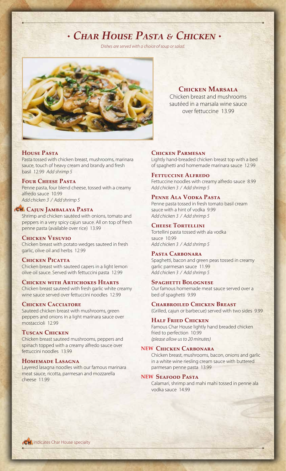### *Char House Pasta & Chicken*

*Dishes are served with a choice of soup or salad.*



**Chicken Marsala**

Chicken breast and mushrooms sautéed in a marsala wine sauce over fettuccine 13.99

#### **House Pasta**

Pasta tossed with chicken breast, mushrooms, marinara sauce, touch of heavy cream and brandy and fresh basil 12.99 *Add shrimp 5*

#### **Four Cheese Pasta**

Penne pasta, four blend cheese, tossed with a creamy alfredo sauce 10.99 *Add chicken 3 / Add shrimp 5*

#### **Cajun Jambalaya Pasta**

Shrimp and chicken sautéed with onions, tomato and peppers in a very spicy cajun sauce. All on top of fresh penne pasta (available over rice) 13.99

#### **Chicken Vesuvio**

Chicken breast with potato wedges sauteed in fresh garlic, olive oil and herbs 12.99

#### **Chicken Picatta**

Chicken breast with sauteed capers in a light lemon olive oil sauce. Served with fettuccini pasta 12.99

#### **Chicken with Artichokes Hearts**

Chicken breast sauteed with fresh garlic white creamy wine sauce served over fettuccini noodles 12.99

#### **Chicken Cacciatore**

Sauteed chicken breast with mushrooms, green peppers and onions in a light marinara sauce over mostaccioli 12.99

#### **Tuscan Chicken**

Chicken breast sauteed mushrooms, peppers and spinach topped with a creamy alfredo sauce over fettuccini noodles 13.99

#### **Homemade Lasagna**

Layered lasagna noodles with our famous marinara meat sauce, ricotta, parmesan and mozzarella cheese 11.99

#### **Chicken Parmesan**

Lightly hand-breaded chicken breast top with a bed of spaghetti and homemade marinara sauce 12.99

**Fettuccine Alfredo** Fettuccine noodles with creamy alfredo sauce 8.99 *Add chicken 3 / Add shrimp 5*

#### **Penne Ala Vodka Pasta**

Penne pasta tossed in fresh tomato basil cream sauce with a hint of vodka 9.99 *Add chicken 3 / Add shrimp 5*

#### **Cheese Tortellini**

Tortellini pasta tossed with ala vodka sauce 10.99 *Add chicken 3 / Add shrimp 5*

#### **Pasta Carbonara**

Spaghetti, bacon and green peas tossed in creamy garlic parmesan sauce 11.99 *Add chicken 3 / Add shrimp 5*

#### **Spaghetti Bolognese**

Our famous homemade meat sauce served over a bed of spaghetti 9.99

#### **Charbroiled Chicken Breast**

(Grilled, cajun or barbecue) served with two sides 9.99

#### **Half Fried Chicken**

Famous Char House lightly hand breaded chicken fried to perfection 10.99 *(please allow us to 20 minutes)*

#### **Chicken Carbonara NEW**

Chicken breast, mushrooms, bacon, onions and garlic in a white wine riesling cream sauce with buttered parmesan penne pasta 13.99

#### **Seafood Pasta NEW**

Calamari, shrimp and mahi mahi tossed in penne ala vodka sauce 14.99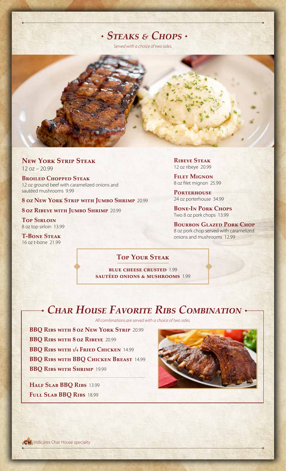### *Steaks & Chops*

*Served with a choice of two sides.*

**New York Strip Steak**  $12 oz - 20.99$ 

**Broiled Chopped Steak** 12 oz ground beef with caramelized onions and sautéed mushrooms 9.99

**8 oz New York Strip with Jumbo Shrimp** 20.99

**8 oz Ribeye with Jumbo Shrimp** 20.99

**Top Sirloin** 8 oz top sirloin 13.99

**T-Bone Steak** 16 oz t-bone 21.99

**Ribeye Steak** 12 oz ribeye 20.99

**Filet Mignon**  8 oz filet mignon 25.99

PORTERHOUSE 24 oz porterhouse 34.99

**Bone-In Pork Chops** Two 8 oz pork chops 13.99

**BOURBON GLAZED PORK CHOP** 8 oz pork chop served with caramelized onions and mushrooms 12.99

### **Top Your Steak**

**blue cheese crusted** 1.99 **sautéed onions & mushrooms** 1.99

### *Char House Favorite Ribs Combination*

*All combinations are served with a choice of two sides.*

**BBQ Ribs with 8 oz New York Strip** 20.99 **BBQ Ribs with 8 oz Ribeye** 20.99 **BBQ Ribs with 1/4 Fried Chicken** 14.99 **BBQ Ribs with BBQ Chicken Breast** 14.99 **BBQ Ribs with Shrimp** 19.99

**Half Slab BBQ Ribs** 13.99 **Full Slab BBQ Ribs** 18.99

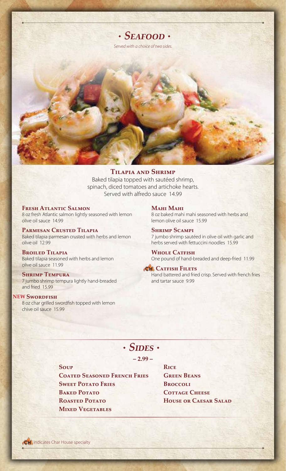

**Tilapia and Shrimp** Baked tilapia topped with sautéed shrimp, spinach, diced tomatoes and artichoke hearts. Served with alfredo sauce 14.99

**Fresh Atlantic Salmon** 8 oz fresh Atlantic salmon lightly seasoned with lemon olive oil sauce 14.99

**Parmesan Crusted Tilapia**  Baked tilapia parmesan crusted with herbs and lemon olive oil 12.99

**Broiled Tilapia** Baked tilapia seasoned with herbs and lemon olive oil sauce 11.99

#### **Shrimp Tempura**

7 jumbo shrimp tempura lightly hand-breaded and fried 15.99

#### **NEW Swordfish**

8 oz char grilled swordfish topped with lemon chive oil sauce 15.99

#### **Mahi Mahi**

8 oz baked mahi mahi seasoned with herbs and lemon olive oil sauce 15.99

**Shrimp Scampi** 7 jumbo shrimp sautéed in olive oil with garlic and herbs served with fettuccini noodles 15.99

**Whole Catfish** One pound of hand-breaded and deep-fried 11.99

#### **CH** CATFISH FILETS

Hand battered and fried crisp. Served with french fries and tartar sauce 9.99

### *Sides*

**– 2.99 –**

**Soup**

**Coated Seasoned French Fries Sweet Potato Fries BAKED POTATO Roasted Potato Mixed Vegetables**

**Rice Green Beans Broccoli Cottage Cheese House or Caesar Salad**